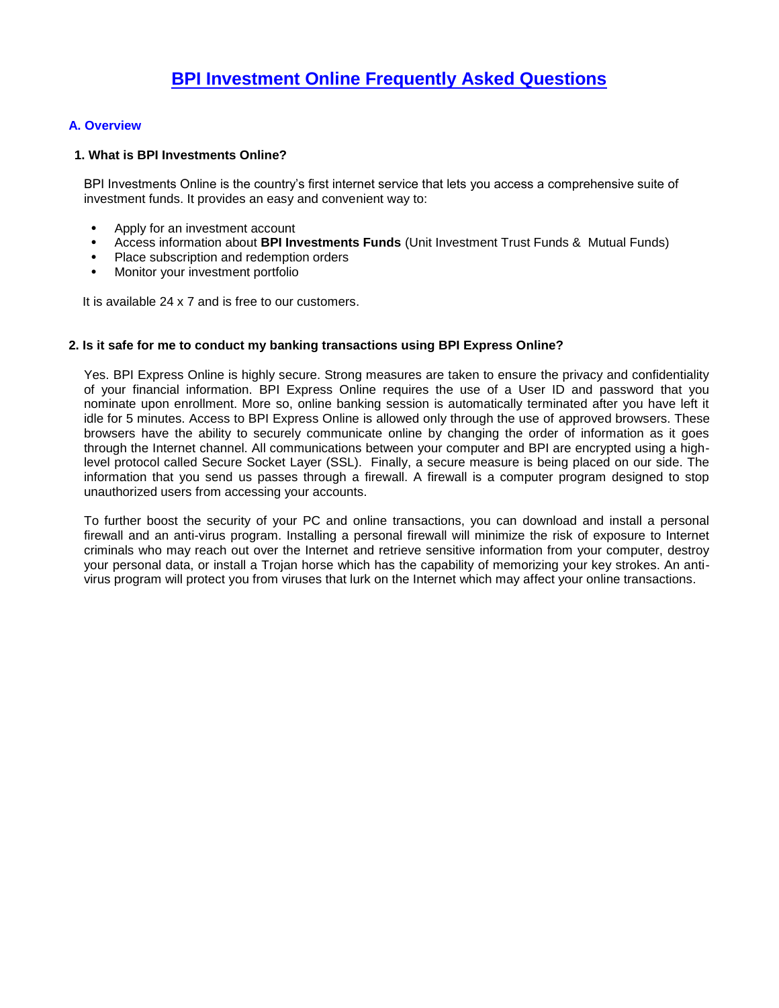# **A. Overview**

## **1. What is BPI Investments Online?**

BPI Investments Online is the country's first internet service that lets you access a comprehensive suite of investment funds. It provides an easy and convenient way to:

- Apply for an investment account
- Access information about **BPI Investments Funds** (Unit Investment Trust Funds & Mutual Funds)
- Place subscription and redemption orders
- Monitor your investment portfolio

It is available 24 x 7 and is free to our customers.

## **2. Is it safe for me to conduct my banking transactions using BPI Express Online?**

Yes. BPI Express Online is highly secure. Strong measures are taken to ensure the privacy and confidentiality of your financial information. BPI Express Online requires the use of a User ID and password that you nominate upon enrollment. More so, online banking session is automatically terminated after you have left it idle for 5 minutes. Access to BPI Express Online is allowed only through the use of approved browsers. These browsers have the ability to securely communicate online by changing the order of information as it goes through the Internet channel. All communications between your computer and BPI are encrypted using a highlevel protocol called Secure Socket Layer (SSL). Finally, a secure measure is being placed on our side. The information that you send us passes through a firewall. A firewall is a computer program designed to stop unauthorized users from accessing your accounts.

To further boost the security of your PC and online transactions, you can download and install a personal firewall and an anti-virus program. Installing a personal firewall will minimize the risk of exposure to Internet criminals who may reach out over the Internet and retrieve sensitive information from your computer, destroy your personal data, or install a Trojan horse which has the capability of memorizing your key strokes. An antivirus program will protect you from viruses that lurk on the Internet which may affect your online transactions.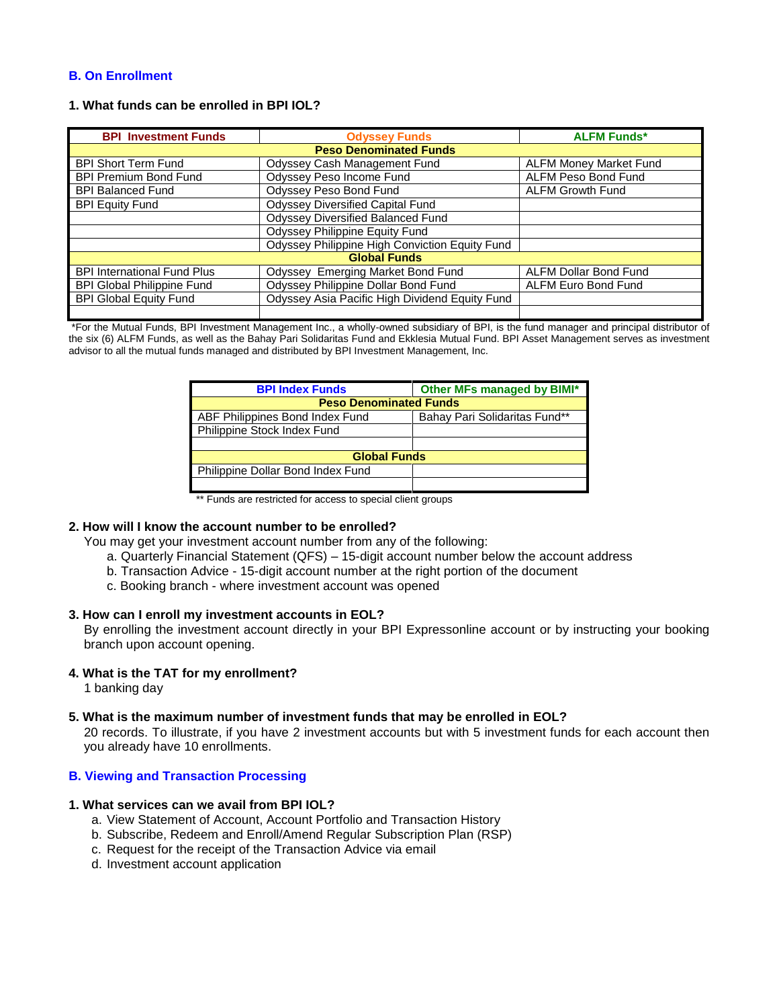### **B. On Enrollment**

### **1. What funds can be enrolled in BPI IOL?**

| <b>BPI Investment Funds</b>        | <b>Odyssey Funds</b>                           | <b>ALFM Funds*</b>            |  |
|------------------------------------|------------------------------------------------|-------------------------------|--|
| <b>Peso Denominated Funds</b>      |                                                |                               |  |
| <b>BPI Short Term Fund</b>         | Odyssey Cash Management Fund                   | <b>ALFM Money Market Fund</b> |  |
| <b>BPI Premium Bond Fund</b>       | Odyssey Peso Income Fund                       | <b>ALFM Peso Bond Fund</b>    |  |
| <b>BPI Balanced Fund</b>           | Odyssey Peso Bond Fund                         | <b>ALFM Growth Fund</b>       |  |
| <b>BPI Equity Fund</b>             | <b>Odyssey Diversified Capital Fund</b>        |                               |  |
|                                    | <b>Odyssey Diversified Balanced Fund</b>       |                               |  |
|                                    | Odyssey Philippine Equity Fund                 |                               |  |
|                                    | Odyssey Philippine High Conviction Equity Fund |                               |  |
| <b>Global Funds</b>                |                                                |                               |  |
| <b>BPI International Fund Plus</b> | Odyssey Emerging Market Bond Fund              | <b>ALFM Dollar Bond Fund</b>  |  |
| <b>BPI Global Philippine Fund</b>  | Odyssey Philippine Dollar Bond Fund            | ALFM Euro Bond Fund           |  |
| <b>BPI Global Equity Fund</b>      | Odyssey Asia Pacific High Dividend Equity Fund |                               |  |
|                                    |                                                |                               |  |

\*For the Mutual Funds, BPI Investment Management Inc., a wholly-owned subsidiary of BPI, is the fund manager and principal distributor of the six (6) ALFM Funds, as well as the Bahay Pari Solidaritas Fund and Ekklesia Mutual Fund. BPI Asset Management serves as investment advisor to all the mutual funds managed and distributed by BPI Investment Management, Inc.

| <b>BPI Index Funds</b>            | Other MFs managed by BIMI*    |  |  |
|-----------------------------------|-------------------------------|--|--|
| <b>Peso Denominated Funds</b>     |                               |  |  |
| ABF Philippines Bond Index Fund   | Bahay Pari Solidaritas Fund** |  |  |
| Philippine Stock Index Fund       |                               |  |  |
|                                   |                               |  |  |
| <b>Global Funds</b>               |                               |  |  |
| Philippine Dollar Bond Index Fund |                               |  |  |
|                                   |                               |  |  |

\*\* Funds are restricted for access to special client groups

#### **2. How will I know the account number to be enrolled?**

You may get your investment account number from any of the following:

- a. Quarterly Financial Statement (QFS) 15-digit account number below the account address
- b. Transaction Advice 15-digit account number at the right portion of the document
- c. Booking branch where investment account was opened

#### **3. How can I enroll my investment accounts in EOL?**

By enrolling the investment account directly in your BPI Expressonline account or by instructing your booking branch upon account opening.

#### **4. What is the TAT for my enrollment?**

1 banking day

# **5. What is the maximum number of investment funds that may be enrolled in EOL?**

20 records. To illustrate, if you have 2 investment accounts but with 5 investment funds for each account then you already have 10 enrollments.

# **B. Viewing and Transaction Processing**

# **1. What services can we avail from BPI IOL?**

- a. View Statement of Account, Account Portfolio and Transaction History
- b. Subscribe, Redeem and Enroll/Amend Regular Subscription Plan (RSP)
- c. Request for the receipt of the Transaction Advice via email
- d. Investment account application